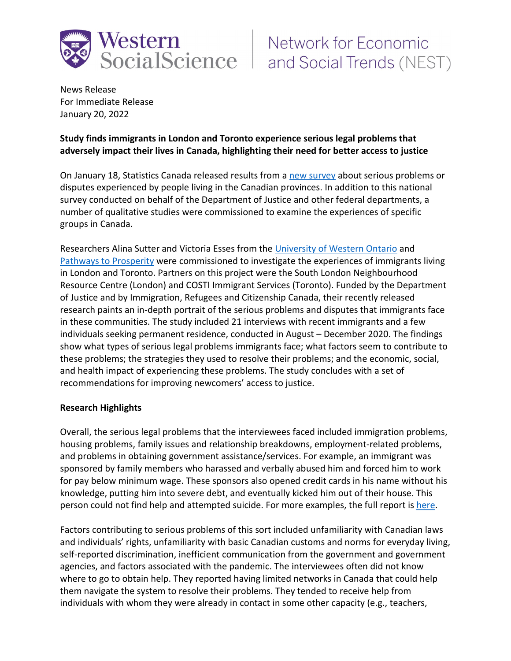

# Network for Economic **WESTEFITENT FOR THE SOCIAL SOCIAL SET AND REGULAR SOCIAL SCIENCE FOR AN ABOVE SET SOCIAL ST**

News Release For Immediate Release January 20, 2022

## **Study finds immigrants in London and Toronto experience serious legal problems that adversely impact their lives in Canada, highlighting their need for better access to justice**

On January 18, Statistics Canada released results from [a new survey](https://www.justice.gc.ca/eng/rp-pr/jr/survey-enquete.html) about serious problems or disputes experienced by people living in the Canadian provinces. In addition to this national survey conducted on behalf of the Department of Justice and other federal departments, a number of qualitative studies were commissioned to examine the experiences of specific groups in Canada.

Researchers Alina Sutter and Victoria Esses from the [University of Western Ontario](https://nest.uwo.ca/) and [Pathways to Prosperity](http://p2pcanada.ca/) were commissioned to investigate the experiences of immigrants living in London and Toronto. Partners on this project were the South London Neighbourhood Resource Centre (London) and COSTI Immigrant Services (Toronto). Funded by the Department of Justice and by Immigration, Refugees and Citizenship Canada, their recently released research paints an in-depth portrait of the serious problems and disputes that immigrants face in these communities. The study included 21 interviews with recent immigrants and a few individuals seeking permanent residence, conducted in August – December 2020. The findings show what types of serious legal problems immigrants face; what factors seem to contribute to these problems; the strategies they used to resolve their problems; and the economic, social, and health impact of experiencing these problems. The study concludes with a set of recommendations for improving newcomers' access to justice.

#### **Research Highlights**

Overall, the serious legal problems that the interviewees faced included immigration problems, housing problems, family issues and relationship breakdowns, employment-related problems, and problems in obtaining government assistance/services. For example, an immigrant was sponsored by family members who harassed and verbally abused him and forced him to work for pay below minimum wage. These sponsors also opened credit cards in his name without his knowledge, putting him into severe debt, and eventually kicked him out of their house. This person could not find help and attempted suicide. For more examples, the full report is [here.](https://www.justice.gc.ca/eng/rp-pr/jr/ilto/toc-tdm.html)

Factors contributing to serious problems of this sort included unfamiliarity with Canadian laws and individuals' rights, unfamiliarity with basic Canadian customs and norms for everyday living, self-reported discrimination, inefficient communication from the government and government agencies, and factors associated with the pandemic. The interviewees often did not know where to go to obtain help. They reported having limited networks in Canada that could help them navigate the system to resolve their problems. They tended to receive help from individuals with whom they were already in contact in some other capacity (e.g., teachers,